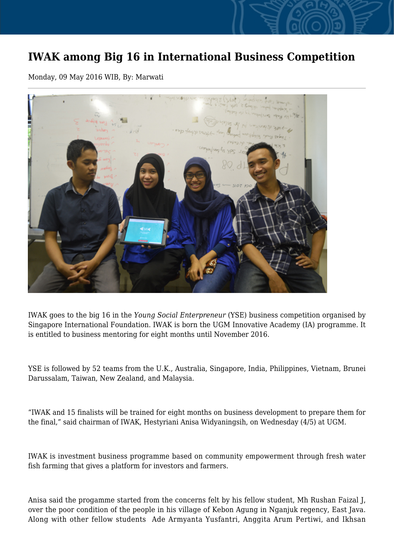## **IWAK among Big 16 in International Business Competition**

Monday, 09 May 2016 WIB, By: Marwati



IWAK goes to the big 16 in the *Young Social Enterpreneur* (YSE) business competition organised by Singapore International Foundation. IWAK is born the UGM Innovative Academy (IA) programme. It is entitled to business mentoring for eight months until November 2016.

YSE is followed by 52 teams from the U.K., Australia, Singapore, India, Philippines, Vietnam, Brunei Darussalam, Taiwan, New Zealand, and Malaysia.

"IWAK and 15 finalists will be trained for eight months on business development to prepare them for the final," said chairman of IWAK, Hestyriani Anisa Widyaningsih, on Wednesday (4/5) at UGM.

IWAK is investment business programme based on community empowerment through fresh water fish farming that gives a platform for investors and farmers.

Anisa said the progamme started from the concerns felt by his fellow student, Mh Rushan Faizal J, over the poor condition of the people in his village of Kebon Agung in Nganjuk regency, East Java. Along with other fellow students Ade Armyanta Yusfantri, Anggita Arum Pertiwi, and Ikhsan